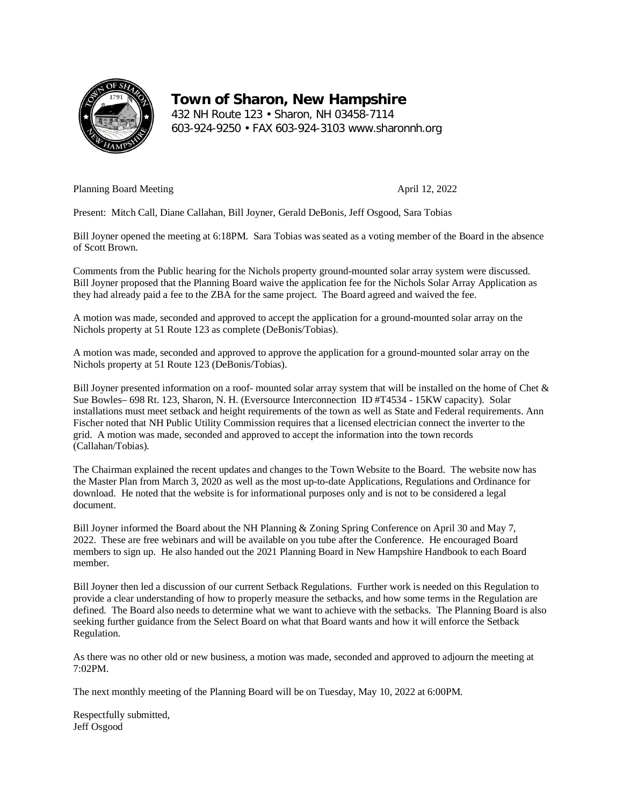

**Town of Sharon, New Hampshire** 432 NH Route 123 • Sharon, NH 03458-7114 603-924-9250 • FAX 603-924-3103 www.sharonnh.org

Planning Board Meeting April 12, 2022

Present: Mitch Call, Diane Callahan, Bill Joyner, Gerald DeBonis, Jeff Osgood, Sara Tobias

Bill Joyner opened the meeting at 6:18PM. Sara Tobias wasseated as a voting member of the Board in the absence of Scott Brown.

Comments from the Public hearing for the Nichols property ground-mounted solar array system were discussed. Bill Joyner proposed that the Planning Board waive the application fee for the Nichols Solar Array Application as they had already paid a fee to the ZBA for the same project. The Board agreed and waived the fee.

A motion was made, seconded and approved to accept the application for a ground-mounted solar array on the Nichols property at 51 Route 123 as complete (DeBonis/Tobias).

A motion was made, seconded and approved to approve the application for a ground-mounted solar array on the Nichols property at 51 Route 123 (DeBonis/Tobias).

Bill Joyner presented information on a roof- mounted solar array system that will be installed on the home of Chet & Sue Bowles– 698 Rt. 123, Sharon, N. H. (Eversource Interconnection ID #T4534 - 15KW capacity). Solar installations must meet setback and height requirements of the town as well as State and Federal requirements. Ann Fischer noted that NH Public Utility Commission requires that a licensed electrician connect the inverter to the grid. A motion was made, seconded and approved to accept the information into the town records (Callahan/Tobias).

The Chairman explained the recent updates and changes to the Town Website to the Board. The website now has the Master Plan from March 3, 2020 as well as the most up-to-date Applications, Regulations and Ordinance for download. He noted that the website is for informational purposes only and is not to be considered a legal document.

Bill Joyner informed the Board about the NH Planning & Zoning Spring Conference on April 30 and May 7, 2022. These are free webinars and will be available on you tube after the Conference. He encouraged Board members to sign up. He also handed out the 2021 Planning Board in New Hampshire Handbook to each Board member.

Bill Joyner then led a discussion of our current Setback Regulations. Further work is needed on this Regulation to provide a clear understanding of how to properly measure the setbacks, and how some terms in the Regulation are defined. The Board also needs to determine what we want to achieve with the setbacks. The Planning Board is also seeking further guidance from the Select Board on what that Board wants and how it will enforce the Setback Regulation.

As there was no other old or new business, a motion was made, seconded and approved to adjourn the meeting at 7:02PM.

The next monthly meeting of the Planning Board will be on Tuesday, May 10, 2022 at 6:00PM.

Respectfully submitted, Jeff Osgood